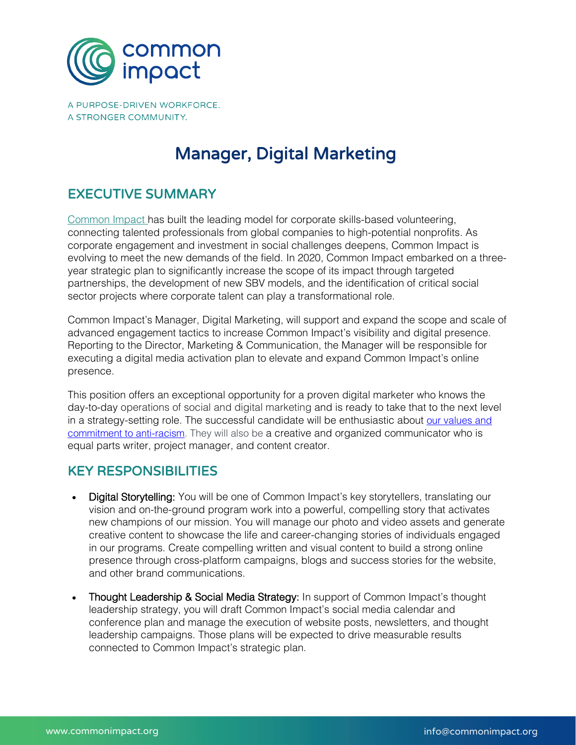

A PURPOSE-DRIVEN WORKFORCE. A STRONGER COMMUNITY.

# Manager, Digital Marketing

### EXECUTIVE SUMMARY

Common Impact has built the leading model for corporate skills-based volunteering, connecting talented professionals from global companies to high-potential nonprofits. As corporate engagement and investment in social challenges deepens, Common Impact is evolving to meet the new demands of the field. In 2020, Common Impact embarked on a threeyear strategic plan to significantly increase the scope of its impact through targeted partnerships, the development of new SBV models, and the identification of critical social sector projects where corporate talent can play a transformational role.

Common Impact's Manager, Digital Marketing, will support and expand the scope and scale of advanced engagement tactics to increase Common Impact's visibility and digital presence. Reporting to the Director, Marketing & Communication, the Manager will be responsible for executing a digital media activation plan to elevate and expand Common Impact's online presence.

This position offers an exceptional opportunity for a proven digital marketer who knows the day-to-day operations of social and digital marketing and is ready to take that to the next level in a strategy-setting role. The successful candidate will be enthusiastic about our values and commitment to anti-racism. They will also be a creative and organized communicator who is equal parts writer, project manager, and content creator.

#### KEY RESPONSIBILITIES

- Digital Storytelling: You will be one of Common Impact's key storytellers, translating our vision and on-the-ground program work into a powerful, compelling story that activates new champions of our mission. You will manage our photo and video assets and generate creative content to showcase the life and career-changing stories of individuals engaged in our programs. Create compelling written and visual content to build a strong online presence through cross-platform campaigns, blogs and success stories for the website, and other brand communications.
- Thought Leadership & Social Media Strategy: In support of Common Impact's thought leadership strategy, you will draft Common Impact's social media calendar and conference plan and manage the execution of website posts, newsletters, and thought leadership campaigns. Those plans will be expected to drive measurable results connected to Common Impact's strategic plan.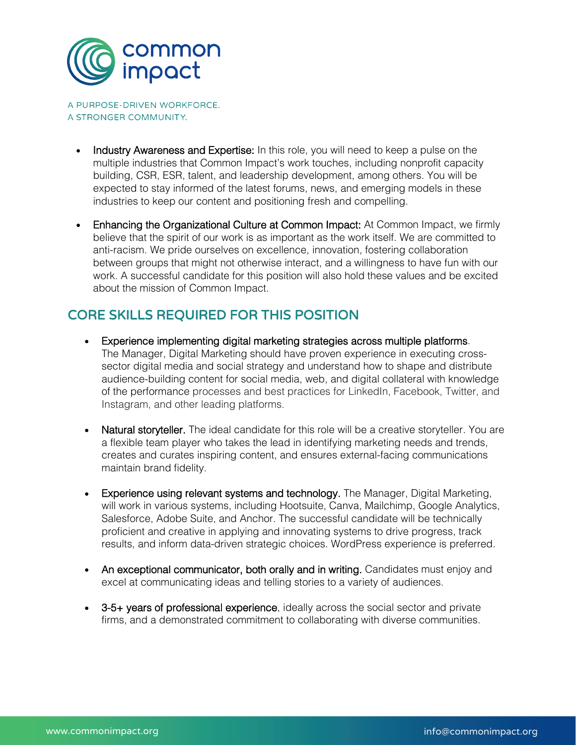

A PURPOSE-DRIVEN WORKFORCE. A STRONGER COMMUNITY.

- Industry Awareness and Expertise: In this role, you will need to keep a pulse on the multiple industries that Common Impact's work touches, including nonprofit capacity building, CSR, ESR, talent, and leadership development, among others. You will be expected to stay informed of the latest forums, news, and emerging models in these industries to keep our content and positioning fresh and compelling.
- Enhancing the Organizational Culture at Common Impact: At Common Impact, we firmly believe that the spirit of our work is as important as the work itself. We are committed to anti-racism. We pride ourselves on excellence, innovation, fostering collaboration between groups that might not otherwise interact, and a willingness to have fun with our work. A successful candidate for this position will also hold these values and be excited about the mission of Common Impact.

## CORE SKILLS REQUIRED FOR THIS POSITION

- Experience implementing digital marketing strategies across multiple platforms. The Manager, Digital Marketing should have proven experience in executing crosssector digital media and social strategy and understand how to shape and distribute audience-building content for social media, web, and digital collateral with knowledge of the performance processes and best practices for LinkedIn, Facebook, Twitter, and Instagram, and other leading platforms.
- Natural storyteller. The ideal candidate for this role will be a creative storyteller. You are a flexible team player who takes the lead in identifying marketing needs and trends, creates and curates inspiring content, and ensures external-facing communications maintain brand fidelity.
- Experience using relevant systems and technology. The Manager, Digital Marketing, will work in various systems, including Hootsuite, Canva, Mailchimp, Google Analytics, Salesforce, Adobe Suite, and Anchor. The successful candidate will be technically proficient and creative in applying and innovating systems to drive progress, track results, and inform data-driven strategic choices. WordPress experience is preferred.
- An exceptional communicator, both orally and in writing. Candidates must enjoy and excel at communicating ideas and telling stories to a variety of audiences.
- 3-5+ years of professional experience, ideally across the social sector and private firms, and a demonstrated commitment to collaborating with diverse communities.